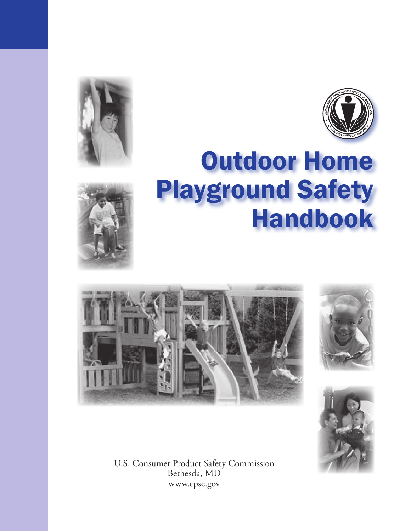





# Outdoor Home Playground Safety Handbook







U.S. Consumer Product Safety Commission Bethesda, MD www.cpsc.gov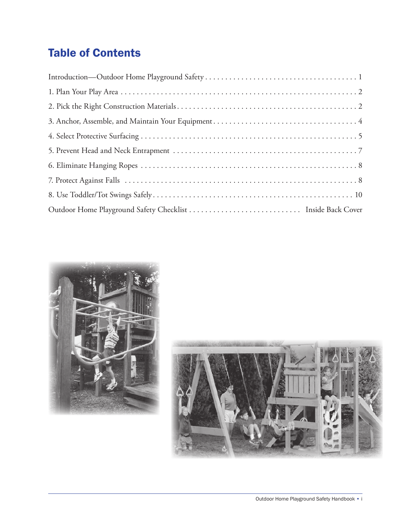# Table of Contents



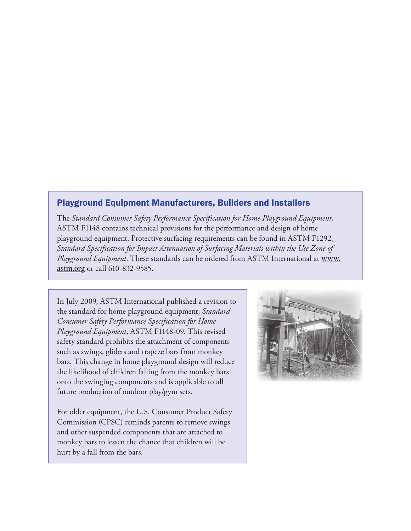#### Playground Equipment Manufacturers, Builders and Installers

The *Standard Consumer Safety Performance Specification for Home Playground Equipment*, ASTM F1148 contains technical provisions for the performance and design of home playground equipment. Protective surfacing requirements can be found in ASTM F1292, *Standard Specification for Impact Attenuation of Surfacing Materials within the Use Zone of Playground Equipment*. These standards can be ordered from ASTM International at www. astm.org or call 610-832-9585.

In July 2009, ASTM International published a revision to the standard for home playground equipment, *Standard Consumer Safety Performance Specification for Home Playground Equipment*, ASTM F1148-09. This revised safety standard prohibits the attachment of components such as swings, gliders and trapeze bars from monkey bars. This change in home playground design will reduce the likelihood of children falling from the monkey bars onto the swinging components and is applicable to all future production of outdoor play/gym sets.

For older equipment, the U.S. Consumer Product Safety Commission (CPSC) reminds parents to remove swings and other suspended components that are attached to monkey bars to lessen the chance that children will be hurt by a fall from the bars.

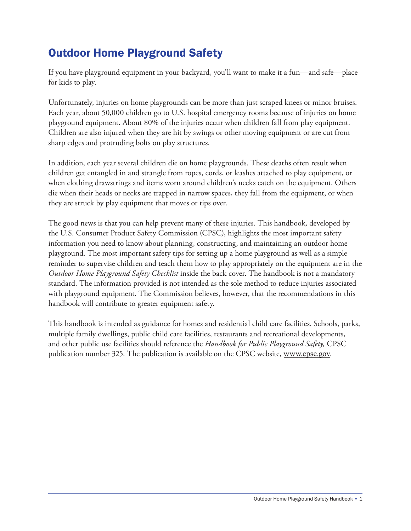# Outdoor Home Playground Safety

If you have playground equipment in your backyard, you'll want to make it a fun—and safe—place for kids to play.

Unfortunately, injuries on home playgrounds can be more than just scraped knees or minor bruises. Each year, about 50,000 children go to U.S. hospital emergency rooms because of injuries on home playground equipment. About 80% of the injuries occur when children fall from play equipment. Children are also injured when they are hit by swings or other moving equipment or are cut from sharp edges and protruding bolts on play structures.

In addition, each year several children die on home playgrounds. These deaths often result when children get entangled in and strangle from ropes, cords, or leashes attached to play equipment, or when clothing drawstrings and items worn around children's necks catch on the equipment. Others die when their heads or necks are trapped in narrow spaces, they fall from the equipment, or when they are struck by play equipment that moves or tips over.

The good news is that you can help prevent many of these injuries. This handbook, developed by the U.S. Consumer Product Safety Commission (CPSC), highlights the most important safety information you need to know about planning, constructing, and maintaining an outdoor home playground. The most important safety tips for setting up a home playground as well as a simple reminder to supervise children and teach them how to play appropriately on the equipment are in the *Outdoor Home Playground Safety Checklist* inside the back cover. The handbook is not a mandatory standard. The information provided is not intended as the sole method to reduce injuries associated with playground equipment. The Commission believes, however, that the recommendations in this handbook will contribute to greater equipment safety.

This handbook is intended as guidance for homes and residential child care facilities. Schools, parks, multiple family dwellings, public child care facilities, restaurants and recreational developments, and other public use facilities should reference the *Handbook for Public Playground Safety,* CPSC publication number 325. The publication is available on the CPSC website, www.cpsc.gov.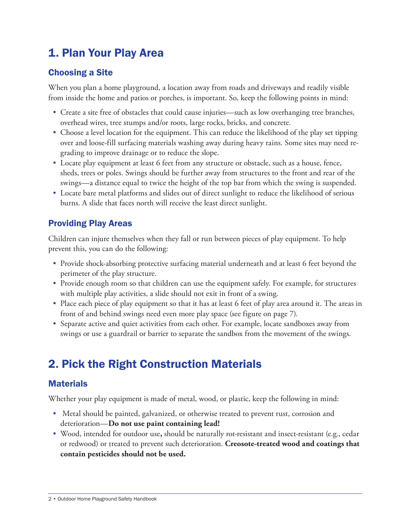## 1. Plan Your Play Area

#### Choosing a Site

When you plan a home playground, a location away from roads and driveways and readily visible from inside the home and patios or porches, is important. So, keep the following points in mind:

- Create a site free of obstacles that could cause injuries—such as low overhanging tree branches, overhead wires, tree stumps and/or roots, large rocks, bricks, and concrete.
- Choose a level location for the equipment. This can reduce the likelihood of the play set tipping over and loose-fill surfacing materials washing away during heavy rains. Some sites may need regrading to improve drainage or to reduce the slope.
- Locate play equipment at least 6 feet from any structure or obstacle, such as a house, fence, sheds, trees or poles. Swings should be further away from structures to the front and rear of the swings—a distance equal to twice the height of the top bar from which the swing is suspended.
- • Locate bare metal platforms and slides out of direct sunlight to reduce the likelihood of serious burns. A slide that faces north will receive the least direct sunlight.

#### Providing Play Areas

Children can injure themselves when they fall or run between pieces of play equipment. To help prevent this, you can do the following:

- Provide shock-absorbing protective surfacing material underneath and at least 6 feet beyond the perimeter of the play structure.
- Provide enough room so that children can use the equipment safely. For example, for structures with multiple play activities, a slide should not exit in front of a swing.
- Place each piece of play equipment so that it has at least 6 feet of play area around it. The areas in front of and behind swings need even more play space (see figure on page 7).
- Separate active and quiet activities from each other. For example, locate sandboxes away from swings or use a guardrail or barrier to separate the sandbox from the movement of the swings.

# 2. Pick the Right Construction Materials

#### **Materials**

Whether your play equipment is made of metal, wood, or plastic, keep the following in mind:

- Metal should be painted, galvanized, or otherwise treated to prevent rust, corrosion and deterioration—**Do not use paint containing lead!**
- • Wood, intended for outdoor use**,** should be naturally rot-resistant and insect-resistant (e.g., cedar or redwood) or treated to prevent such deterioration. **Creosote-treated wood and coatings that contain pesticides should not be used.**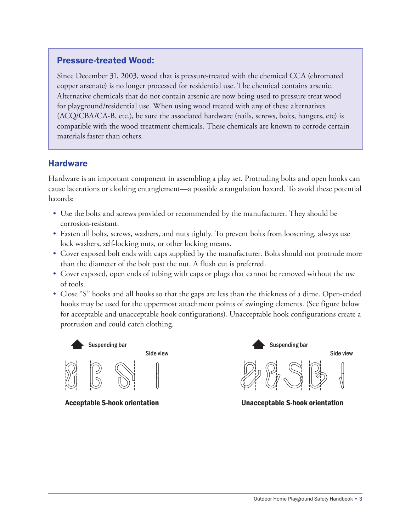#### Pressure-treated Wood:

Since December 31, 2003, wood that is pressure-treated with the chemical CCA (chromated copper arsenate) is no longer processed for residential use. The chemical contains arsenic. Alternative chemicals that do not contain arsenic are now being used to pressure treat wood for playground/residential use. When using wood treated with any of these alternatives (ACQ/CBA/CA-B, etc.), be sure the associated hardware (nails, screws, bolts, hangers, etc) is compatible with the wood treatment chemicals. These chemicals are known to corrode certain materials faster than others.

#### **Hardware**

Hardware is an important component in assembling a play set. Protruding bolts and open hooks can cause lacerations or clothing entanglement—a possible strangulation hazard. To avoid these potential hazards:

- Use the bolts and screws provided or recommended by the manufacturer. They should be corrosion-resistant.
- Fasten all bolts, screws, washers, and nuts tightly. To prevent bolts from loosening, always use lock washers, self-locking nuts, or other locking means.
- Cover exposed bolt ends with caps supplied by the manufacturer. Bolts should not protrude more than the diameter of the bolt past the nut. A flush cut is preferred.
- Cover exposed, open ends of tubing with caps or plugs that cannot be removed without the use of tools.
- Close "S" hooks and all hooks so that the gaps are less than the thickness of a dime. Open-ended hooks may be used for the uppermost attachment points of swinging elements. (See figure below for acceptable and unacceptable hook configurations). Unacceptable hook configurations create a protrusion and could catch clothing.







Acceptable S-hook orientation Unacceptable S-hook orientation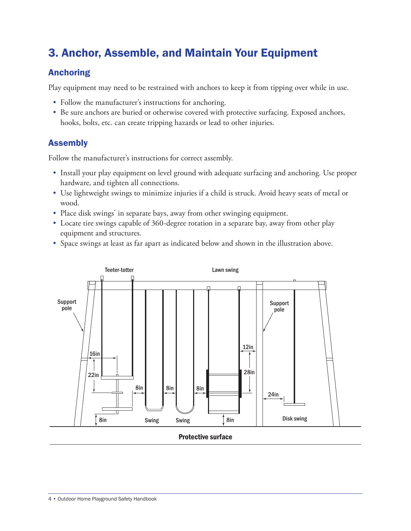# 3. Anchor, Assemble, and Maintain Your Equipment

## Anchoring

Play equipment may need to be restrained with anchors to keep it from tipping over while in use.

- Follow the manufacturer's instructions for anchoring.
- Be sure anchors are buried or otherwise covered with protective surfacing. Exposed anchors, hooks, bolts, etc. can create tripping hazards or lead to other injuries.

#### Assembly

Follow the manufacturer's instructions for correct assembly.

- Install your play equipment on level ground with adequate surfacing and anchoring. Use proper hardware, and tighten all connections.
- Use lightweight swings to minimize injuries if a child is struck. Avoid heavy seats of metal or wood.
- Place disk swings<sup>\*</sup> in separate bays, away from other swinging equipment.
- Locate tire swings capable of 360-degree rotation in a separate bay, away from other play equipment and structures.
- Space swings at least as far apart as indicated below and shown in the illustration above.



Protective surface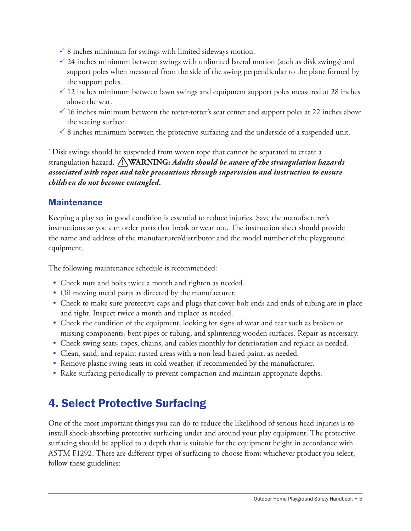- $\checkmark$  8 inches minimum for swings with limited sideways motion.
- $\frac{3}{4}$  inches minimum between swings with unlimited lateral motion (such as disk swings) and support poles when measured from the side of the swing perpendicular to the plane formed by the support poles.
- $\checkmark$  12 inches minimum between lawn swings and equipment support poles measured at 28 inches above the seat.
- $\checkmark$  16 inches minimum between the teeter-totter's seat center and support poles at 22 inches above the seating surface.
- $\checkmark$  8 inches minimum between the protective surfacing and the underside of a suspended unit.

\* Disk swings should be suspended from woven rope that cannot be separated to create a strangulation hazard. **WARNING:** *Adults should be aware of the strangulation hazards associated with ropes and take precautions through supervision and instruction to ensure children do not become entangled.*

#### **Maintenance**

Keeping a play set in good condition is essential to reduce injuries. Save the manufacturer's instructions so you can order parts that break or wear out. The instruction sheet should provide the name and address of the manufacturer/distributor and the model number of the playground equipment.

The following maintenance schedule is recommended:

- Check nuts and bolts twice a month and tighten as needed.
- Oil moving metal parts as directed by the manufacturer.
- Check to make sure protective caps and plugs that cover bolt ends and ends of tubing are in place and tight. Inspect twice a month and replace as needed.
- • Check the condition of the equipment, looking for signs of wear and tear such as broken or missing components, bent pipes or tubing, and splintering wooden surfaces. Repair as necessary.
- Check swing seats, ropes, chains, and cables monthly for deterioration and replace as needed.
- Clean, sand, and repaint rusted areas with a non-lead-based paint, as needed.
- Remove plastic swing seats in cold weather, if recommended by the manufacturer.
- Rake surfacing periodically to prevent compaction and maintain appropriate depths.

# 4. Select Protective Surfacing

One of the most important things you can do to reduce the likelihood of serious head injuries is to install shock-absorbing protective surfacing under and around your play equipment. The protective surfacing should be applied to a depth that is suitable for the equipment height in accordance with ASTM F1292. There are different types of surfacing to choose from; whichever product you select, follow these guidelines: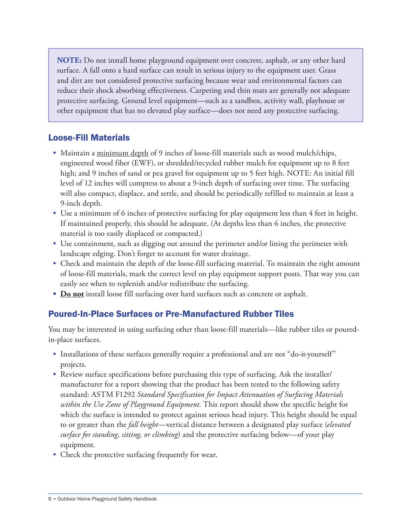**NOTE:** Do not install home playground equipment over concrete, asphalt, or any other hard surface. A fall onto a hard surface can result in serious injury to the equipment user. Grass and dirt are not considered protective surfacing because wear and environmental factors can reduce their shock absorbing effectiveness. Carpeting and thin mats are generally not adequate protective surfacing. Ground level equipment—such as a sandbox, activity wall, playhouse or other equipment that has no elevated play surface—does not need any protective surfacing.

#### Loose-Fill Materials

- Maintain a minimum depth of 9 inches of loose-fill materials such as wood mulch/chips, engineered wood fiber (EWF), or shredded/recycled rubber mulch for equipment up to 8 feet high; and 9 inches of sand or pea gravel for equipment up to 5 feet high. NOTE: An initial fill level of 12 inches will compress to about a 9-inch depth of surfacing over time. The surfacing will also compact, displace, and settle, and should be periodically refilled to maintain at least a 9-inch depth.
- Use a minimum of 6 inches of protective surfacing for play equipment less than 4 feet in height. If maintained properly, this should be adequate. (At depths less than 6 inches, the protective material is too easily displaced or compacted.)
- Use containment, such as digging out around the perimeter and/or lining the perimeter with landscape edging. Don't forget to account for water drainage.
- • Check and maintain the depth of the loose-fill surfacing material. To maintain the right amount of loose-fill materials, mark the correct level on play equipment support posts. That way you can easily see when to replenish and/or redistribute the surfacing.
- **Do not** install loose fill surfacing over hard surfaces such as concrete or asphalt.

## Poured-In-Place Surfaces or Pre-Manufactured Rubber Tiles

You may be interested in using surfacing other than loose-fill materials—like rubber tiles or pouredin-place surfaces.

- Installations of these surfaces generally require a professional and are not "do-it-yourself" projects.
- Review surface specifications before purchasing this type of surfacing. Ask the installer/ manufacturer for a report showing that the product has been tested to the following safety standard: ASTM F1292 *Standard Specification for Impact Attenuation of Surfacing Materials within the Use Zone of Playground Equipment*. This report should show the specific height for which the surface is intended to protect against serious head injury. This height should be equal to or greater than the *fall height*—vertical distance between a designated play surface (*elevated surface for standing, sitting, or climbing*) and the protective surfacing below—of your play equipment.
- Check the protective surfacing frequently for wear.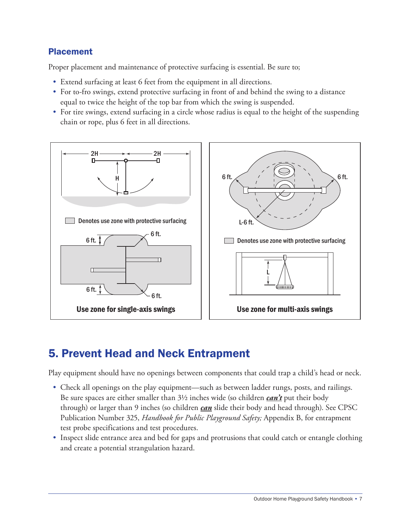## Placement

Proper placement and maintenance of protective surfacing is essential. Be sure to;

- Extend surfacing at least 6 feet from the equipment in all directions.
- For to-fro swings, extend protective surfacing in front of and behind the swing to a distance equal to twice the height of the top bar from which the swing is suspended.
- For tire swings, extend surfacing in a circle whose radius is equal to the height of the suspending chain or rope, plus 6 feet in all directions.



## 5. Prevent Head and Neck Entrapment

Play equipment should have no openings between components that could trap a child's head or neck.

- Check all openings on the play equipment—such as between ladder rungs, posts, and railings. Be sure spaces are either smaller than 3½ inches wide (so children *can't* put their body through) or larger than 9 inches (so children *can* slide their body and head through). See CPSC Publication Number 325, *Handbook for Public Playground Safety;* Appendix B, for entrapment test probe specifications and test procedures.
- Inspect slide entrance area and bed for gaps and protrusions that could catch or entangle clothing and create a potential strangulation hazard.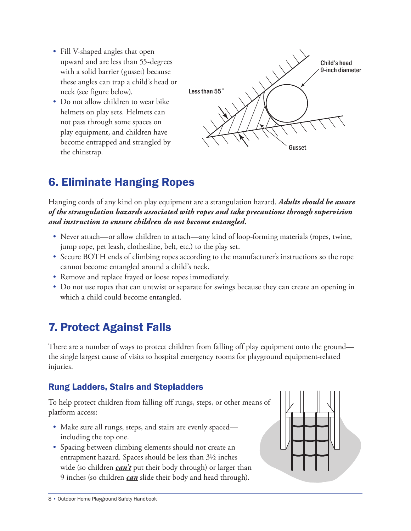- Fill V-shaped angles that open upward and are less than 55-degrees with a solid barrier (gusset) because these angles can trap a child's head or neck (see figure below).
- Do not allow children to wear bike helmets on play sets. Helmets can not pass through some spaces on play equipment, and children have become entrapped and strangled by the chinstrap.



# 6. Eliminate Hanging Ropes

Hanging cords of any kind on play equipment are a strangulation hazard. *Adults should be aware of the strangulation hazards associated with ropes and take precautions through supervision and instruction to ensure children do not become entangled.*

- Never attach—or allow children to attach—any kind of loop-forming materials (ropes, twine, jump rope, pet leash, clothesline, belt, etc.) to the play set.
- Secure BOTH ends of climbing ropes according to the manufacturer's instructions so the rope cannot become entangled around a child's neck.
- Remove and replace frayed or loose ropes immediately.
- Do not use ropes that can untwist or separate for swings because they can create an opening in which a child could become entangled.

# 7. Protect Against Falls

There are a number of ways to protect children from falling off play equipment onto the ground the single largest cause of visits to hospital emergency rooms for playground equipment-related injuries.

## Rung Ladders, Stairs and Stepladders

To help protect children from falling off rungs, steps, or other means of platform access:

- Make sure all rungs, steps, and stairs are evenly spaced including the top one.
- Spacing between climbing elements should not create an entrapment hazard. Spaces should be less than 3½ inches wide (so children *can't* put their body through) or larger than 9 inches (so children *can* slide their body and head through).

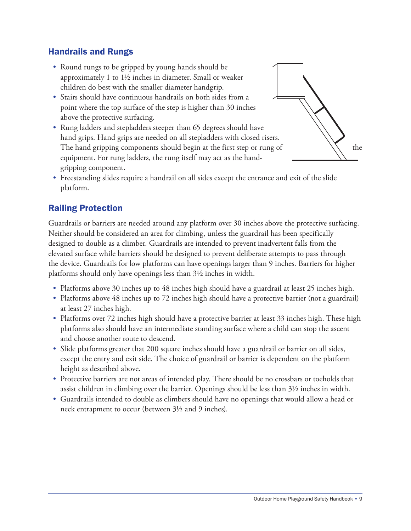#### Handrails and Rungs

- Round rungs to be gripped by young hands should be approximately 1 to 1½ inches in diameter. Small or weaker children do best with the smaller diameter handgrip.
- Stairs should have continuous handrails on both sides from a point where the top surface of the step is higher than 30 inches above the protective surfacing.
- Rung ladders and stepladders steeper than 65 degrees should have hand grips. Hand grips are needed on all stepladders with closed risers. The hand gripping components should begin at the first step or rung of  $\setminus\$  the equipment. For rung ladders, the rung itself may act as the handgripping component.



• Freestanding slides require a handrail on all sides except the entrance and exit of the slide platform.

## Railing Protection

Guardrails or barriers are needed around any platform over 30 inches above the protective surfacing. Neither should be considered an area for climbing, unless the guardrail has been specifically designed to double as a climber. Guardrails are intended to prevent inadvertent falls from the elevated surface while barriers should be designed to prevent deliberate attempts to pass through the device. Guardrails for low platforms can have openings larger than 9 inches. Barriers for higher platforms should only have openings less than 3½ inches in width.

- Platforms above 30 inches up to 48 inches high should have a guardrail at least 25 inches high.
- Platforms above 48 inches up to 72 inches high should have a protective barrier (not a guardrail) at least 27 inches high.
- Platforms over 72 inches high should have a protective barrier at least 33 inches high. These high platforms also should have an intermediate standing surface where a child can stop the ascent and choose another route to descend.
- Slide platforms greater that 200 square inches should have a guardrail or barrier on all sides, except the entry and exit side. The choice of guardrail or barrier is dependent on the platform height as described above.
- Protective barriers are not areas of intended play. There should be no crossbars or toeholds that assist children in climbing over the barrier. Openings should be less than 3½ inches in width.
- • Guardrails intended to double as climbers should have no openings that would allow a head or neck entrapment to occur (between 3½ and 9 inches).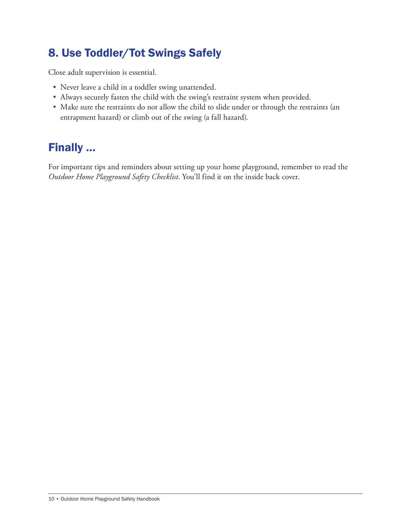# 8. Use Toddler/Tot Swings Safely

Close adult supervision is essential.

- Never leave a child in a toddler swing unattended.
- Always securely fasten the child with the swing's restraint system when provided.
- Make sure the restraints do not allow the child to slide under or through the restraints (an entrapment hazard) or climb out of the swing (a fall hazard).

## Finally …

For important tips and reminders about setting up your home playground, remember to read the *Outdoor Home Playground Safety Checklist*. You'll find it on the inside back cover.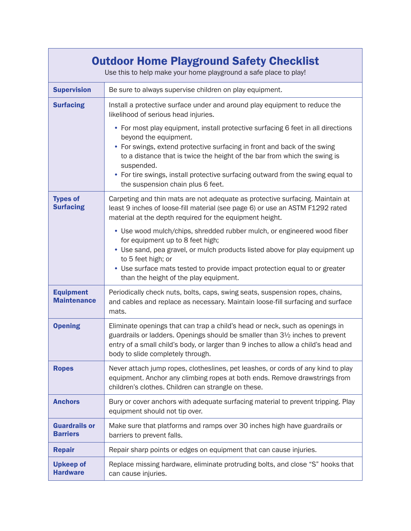| <b>Outdoor Home Playground Safety Checklist</b><br>Use this to help make your home playground a safe place to play! |                                                                                                                                                                                                                                                                                                                                                                                                          |
|---------------------------------------------------------------------------------------------------------------------|----------------------------------------------------------------------------------------------------------------------------------------------------------------------------------------------------------------------------------------------------------------------------------------------------------------------------------------------------------------------------------------------------------|
| <b>Supervision</b>                                                                                                  | Be sure to always supervise children on play equipment.                                                                                                                                                                                                                                                                                                                                                  |
| <b>Surfacing</b>                                                                                                    | Install a protective surface under and around play equipment to reduce the<br>likelihood of serious head injuries.                                                                                                                                                                                                                                                                                       |
|                                                                                                                     | • For most play equipment, install protective surfacing 6 feet in all directions<br>beyond the equipment.<br>• For swings, extend protective surfacing in front and back of the swing<br>to a distance that is twice the height of the bar from which the swing is<br>suspended.<br>• For tire swings, install protective surfacing outward from the swing equal to<br>the suspension chain plus 6 feet. |
| <b>Types of</b><br><b>Surfacing</b>                                                                                 | Carpeting and thin mats are not adequate as protective surfacing. Maintain at<br>least 9 inches of loose-fill material (see page 6) or use an ASTM F1292 rated<br>material at the depth required for the equipment height.                                                                                                                                                                               |
|                                                                                                                     | • Use wood mulch/chips, shredded rubber mulch, or engineered wood fiber<br>for equipment up to 8 feet high;<br>• Use sand, pea gravel, or mulch products listed above for play equipment up<br>to 5 feet high; or<br>• Use surface mats tested to provide impact protection equal to or greater<br>than the height of the play equipment.                                                                |
| <b>Equipment</b><br><b>Maintenance</b>                                                                              | Periodically check nuts, bolts, caps, swing seats, suspension ropes, chains,<br>and cables and replace as necessary. Maintain loose-fill surfacing and surface<br>mats.                                                                                                                                                                                                                                  |
| <b>Opening</b>                                                                                                      | Eliminate openings that can trap a child's head or neck, such as openings in<br>guardrails or ladders. Openings should be smaller than 31/2 inches to prevent<br>entry of a small child's body, or larger than 9 inches to allow a child's head and<br>body to slide completely through.                                                                                                                 |
| <b>Ropes</b>                                                                                                        | Never attach jump ropes, clotheslines, pet leashes, or cords of any kind to play<br>equipment. Anchor any climbing ropes at both ends. Remove drawstrings from<br>children's clothes. Children can strangle on these.                                                                                                                                                                                    |
| <b>Anchors</b>                                                                                                      | Bury or cover anchors with adequate surfacing material to prevent tripping. Play<br>equipment should not tip over.                                                                                                                                                                                                                                                                                       |
| <b>Guardrails or</b><br><b>Barriers</b>                                                                             | Make sure that platforms and ramps over 30 inches high have guardrails or<br>barriers to prevent falls.                                                                                                                                                                                                                                                                                                  |
| <b>Repair</b>                                                                                                       | Repair sharp points or edges on equipment that can cause injuries.                                                                                                                                                                                                                                                                                                                                       |
| <b>Upkeep of</b><br><b>Hardware</b>                                                                                 | Replace missing hardware, eliminate protruding bolts, and close "S" hooks that<br>can cause injuries.                                                                                                                                                                                                                                                                                                    |